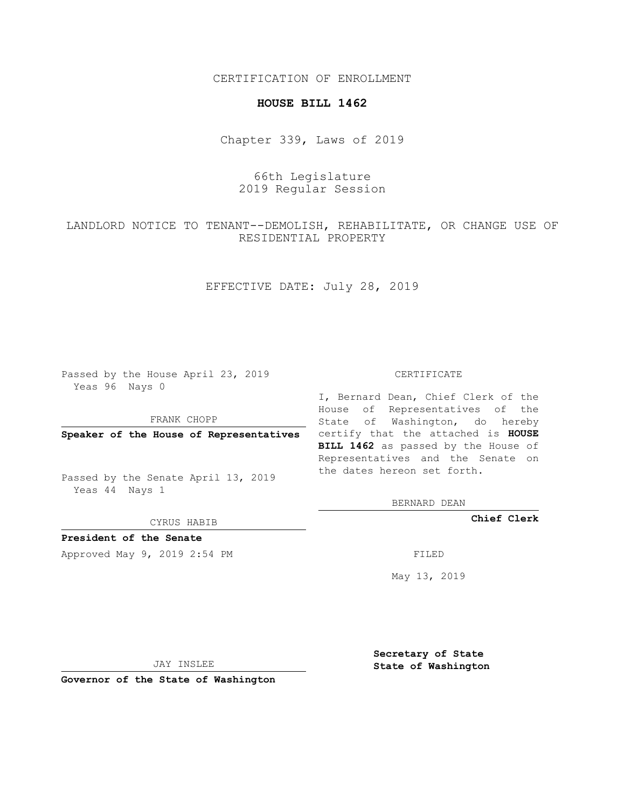CERTIFICATION OF ENROLLMENT

### **HOUSE BILL 1462**

Chapter 339, Laws of 2019

# 66th Legislature 2019 Regular Session

LANDLORD NOTICE TO TENANT--DEMOLISH, REHABILITATE, OR CHANGE USE OF RESIDENTIAL PROPERTY

EFFECTIVE DATE: July 28, 2019

Passed by the House April 23, 2019 Yeas 96 Nays 0

FRANK CHOPP

Passed by the Senate April 13, 2019 Yeas 44 Nays 1

CYRUS HABIB

**President of the Senate**

Approved May 9, 2019 2:54 PM

#### CERTIFICATE

**Speaker of the House of Representatives** certify that the attached is **HOUSE** I, Bernard Dean, Chief Clerk of the House of Representatives of the State of Washington, do hereby **BILL 1462** as passed by the House of Representatives and the Senate on the dates hereon set forth.

BERNARD DEAN

**Chief Clerk**

May 13, 2019

JAY INSLEE

**Governor of the State of Washington**

**Secretary of State State of Washington**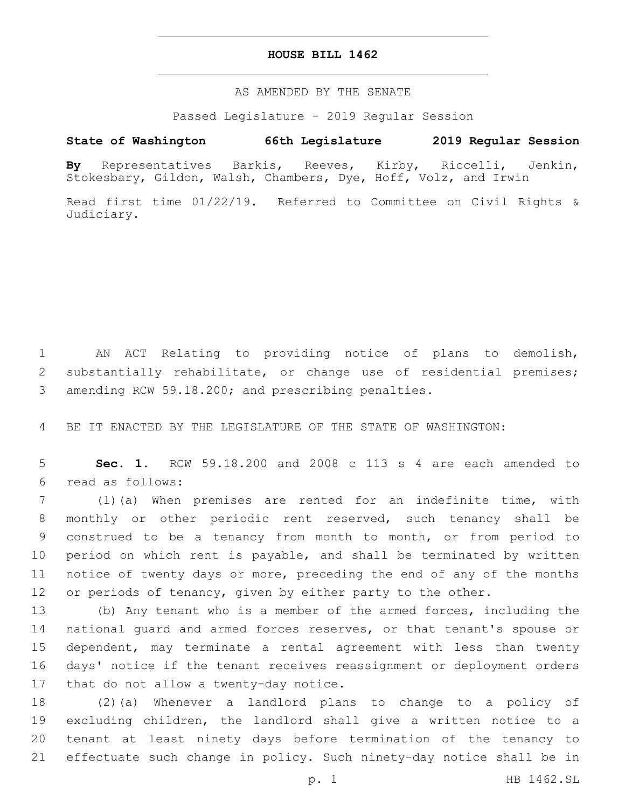### **HOUSE BILL 1462**

AS AMENDED BY THE SENATE

Passed Legislature - 2019 Regular Session

# **State of Washington 66th Legislature 2019 Regular Session**

**By** Representatives Barkis, Reeves, Kirby, Riccelli, Jenkin, Stokesbary, Gildon, Walsh, Chambers, Dye, Hoff, Volz, and Irwin

Read first time 01/22/19. Referred to Committee on Civil Rights & Judiciary.

1 AN ACT Relating to providing notice of plans to demolish, 2 substantially rehabilitate, or change use of residential premises; 3 amending RCW 59.18.200; and prescribing penalties.

4 BE IT ENACTED BY THE LEGISLATURE OF THE STATE OF WASHINGTON:

5 **Sec. 1.** RCW 59.18.200 and 2008 c 113 s 4 are each amended to read as follows:6

 (1)(a) When premises are rented for an indefinite time, with monthly or other periodic rent reserved, such tenancy shall be construed to be a tenancy from month to month, or from period to period on which rent is payable, and shall be terminated by written notice of twenty days or more, preceding the end of any of the months 12 or periods of tenancy, given by either party to the other.

 (b) Any tenant who is a member of the armed forces, including the national guard and armed forces reserves, or that tenant's spouse or dependent, may terminate a rental agreement with less than twenty days' notice if the tenant receives reassignment or deployment orders 17 that do not allow a twenty-day notice.

 (2)(a) Whenever a landlord plans to change to a policy of excluding children, the landlord shall give a written notice to a tenant at least ninety days before termination of the tenancy to effectuate such change in policy. Such ninety-day notice shall be in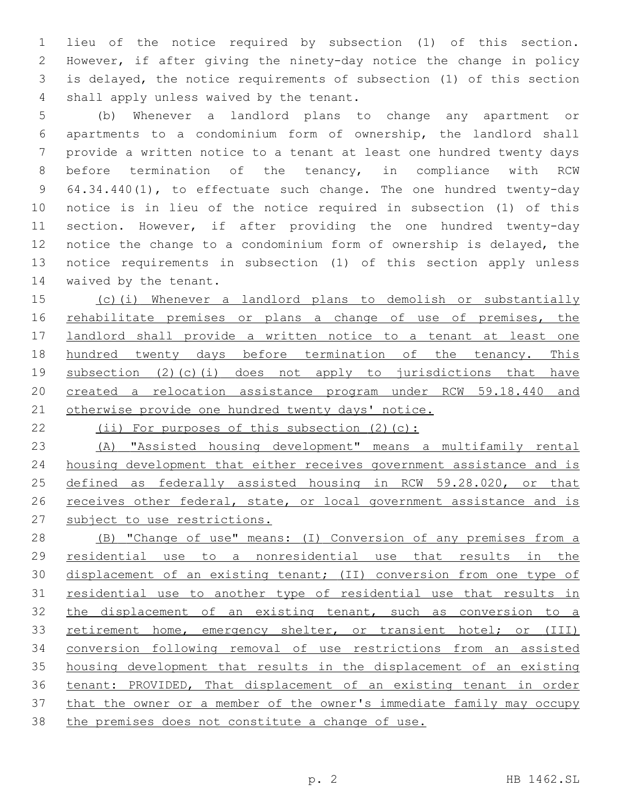lieu of the notice required by subsection (1) of this section. However, if after giving the ninety-day notice the change in policy is delayed, the notice requirements of subsection (1) of this section 4 shall apply unless waived by the tenant.

 (b) Whenever a landlord plans to change any apartment or apartments to a condominium form of ownership, the landlord shall provide a written notice to a tenant at least one hundred twenty days before termination of the tenancy, in compliance with RCW 64.34.440(1), to effectuate such change. The one hundred twenty-day notice is in lieu of the notice required in subsection (1) of this section. However, if after providing the one hundred twenty-day notice the change to a condominium form of ownership is delayed, the notice requirements in subsection (1) of this section apply unless 14 waived by the tenant.

 (c)(i) Whenever a landlord plans to demolish or substantially 16 rehabilitate premises or plans a change of use of premises, the landlord shall provide a written notice to a tenant at least one 18 hundred twenty days before termination of the tenancy. This subsection (2)(c)(i) does not apply to jurisdictions that have created a relocation assistance program under RCW 59.18.440 and 21 otherwise provide one hundred twenty days' notice.

22 (ii) For purposes of this subsection (2)(c):

 (A) "Assisted housing development" means a multifamily rental housing development that either receives government assistance and is defined as federally assisted housing in RCW 59.28.020, or that 26 receives other federal, state, or local government assistance and is subject to use restrictions.

 (B) "Change of use" means: (I) Conversion of any premises from a residential use to a nonresidential use that results in the 30 displacement of an existing tenant; (II) conversion from one type of residential use to another type of residential use that results in 32 the displacement of an existing tenant, such as conversion to a 33 retirement home, emergency shelter, or transient hotel; or (III) conversion following removal of use restrictions from an assisted housing development that results in the displacement of an existing tenant: PROVIDED, That displacement of an existing tenant in order that the owner or a member of the owner's immediate family may occupy the premises does not constitute a change of use.